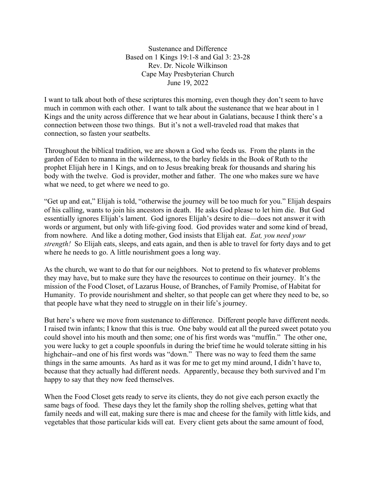Sustenance and Difference Based on 1 Kings 19:1-8 and Gal 3: 23-28 Rev. Dr. Nicole Wilkinson Cape May Presbyterian Church June 19, 2022

I want to talk about both of these scriptures this morning, even though they don't seem to have much in common with each other. I want to talk about the sustenance that we hear about in 1 Kings and the unity across difference that we hear about in Galatians, because I think there's a connection between those two things. But it's not a well-traveled road that makes that connection, so fasten your seatbelts.

Throughout the biblical tradition, we are shown a God who feeds us. From the plants in the garden of Eden to manna in the wilderness, to the barley fields in the Book of Ruth to the prophet Elijah here in 1 Kings, and on to Jesus breaking break for thousands and sharing his body with the twelve. God is provider, mother and father. The one who makes sure we have what we need, to get where we need to go.

"Get up and eat," Elijah is told, "otherwise the journey will be too much for you." Elijah despairs of his calling, wants to join his ancestors in death. He asks God please to let him die. But God essentially ignores Elijah's lament. God ignores Elijah's desire to die—does not answer it with words or argument, but only with life-giving food. God provides water and some kind of bread, from nowhere. And like a doting mother, God insists that Elijah eat. *Eat, you need your strength!* So Elijah eats, sleeps, and eats again, and then is able to travel for forty days and to get where he needs to go. A little nourishment goes a long way.

As the church, we want to do that for our neighbors. Not to pretend to fix whatever problems they may have, but to make sure they have the resources to continue on their journey. It's the mission of the Food Closet, of Lazarus House, of Branches, of Family Promise, of Habitat for Humanity. To provide nourishment and shelter, so that people can get where they need to be, so that people have what they need to struggle on in their life's journey.

But here's where we move from sustenance to difference. Different people have different needs. I raised twin infants; I know that this is true. One baby would eat all the pureed sweet potato you could shovel into his mouth and then some; one of his first words was "muffin." The other one, you were lucky to get a couple spoonfuls in during the brief time he would tolerate sitting in his highchair--and one of his first words was "down." There was no way to feed them the same things in the same amounts. As hard as it was for me to get my mind around, I didn't have to, because that they actually had different needs. Apparently, because they both survived and I'm happy to say that they now feed themselves.

When the Food Closet gets ready to serve its clients, they do not give each person exactly the same bags of food. These days they let the family shop the rolling shelves, getting what that family needs and will eat, making sure there is mac and cheese for the family with little kids, and vegetables that those particular kids will eat. Every client gets about the same amount of food,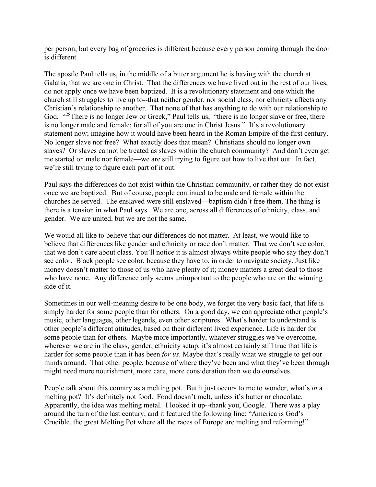per person; but every bag of groceries is different because every person coming through the door is different.

The apostle Paul tells us, in the middle of a bitter argument he is having with the church at Galatia, that we are one in Christ. That the differences we have lived out in the rest of our lives, do not apply once we have been baptized. It is a revolutionary statement and one which the church still struggles to live up to--that neither gender, nor social class, nor ethnicity affects any Christian's relationship to another. That none of that has anything to do with our relationship to God. "<sup>28</sup>There is no longer Jew or Greek," Paul tells us, "there is no longer slave or free, there is no longer male and female; for all of you are one in Christ Jesus." It's a revolutionary statement now; imagine how it would have been heard in the Roman Empire of the first century. No longer slave nor free? What exactly does that mean? Christians should no longer own slaves? Or slaves cannot be treated as slaves within the church community? And don't even get me started on male nor female—we are still trying to figure out how to live that out. In fact, we're still trying to figure each part of it out.

Paul says the differences do not exist within the Christian community, or rather they do not exist once we are baptized. But of course, people continued to be male and female within the churches he served. The enslaved were still enslaved—baptism didn't free them. The thing is there is a tension in what Paul says. We are one, across all differences of ethnicity, class, and gender. We are united, but we are not the same.

We would all like to believe that our differences do not matter. At least, we would like to believe that differences like gender and ethnicity or race don't matter. That we don't see color, that we don't care about class. You'll notice it is almost always white people who say they don't see color. Black people see color, because they have to, in order to navigate society. Just like money doesn't matter to those of us who have plenty of it; money matters a great deal to those who have none. Any difference only seems unimportant to the people who are on the winning side of it.

Sometimes in our well-meaning desire to be one body, we forget the very basic fact, that life is simply harder for some people than for others. On a good day, we can appreciate other people's music, other languages, other legends, even other scriptures. What's harder to understand is other people's different attitudes, based on their different lived experience. Life is harder for some people than for others. Maybe more importantly, whatever struggles we've overcome, wherever we are in the class, gender, ethnicity setup, it's almost certainly still true that life is harder for some people than it has been *for us*. Maybe that's really what we struggle to get our minds around. That other people, because of where they've been and what they've been through might need more nourishment, more care, more consideration than we do ourselves.

People talk about this country as a melting pot. But it just occurs to me to wonder, what's *in* a melting pot? It's definitely not food. Food doesn't melt, unless it's butter or chocolate. Apparently, the idea was melting metal. I looked it up--thank you, Google. There was a play around the turn of the last century, and it featured the following line: "America is God's Crucible, the great Melting Pot where all the races of Europe are melting and reforming!"